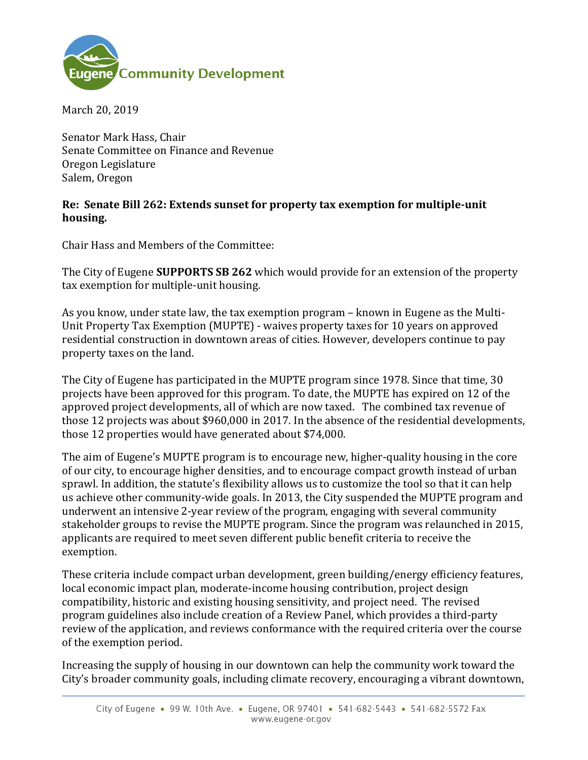

March 20, 2019

Senator Mark Hass, Chair Senate Committee on Finance and Revenue Oregon Legislature Salem, Oregon

## **Re: Senate Bill 262: Extends sunset for property tax exemption for multiple-unit housing.**

Chair Hass and Members of the Committee:

The City of Eugene **SUPPORTS SB 262** which would provide for an extension of the property tax exemption for multiple-unit housing.

As you know, under state law, the tax exemption program – known in Eugene as the Multi-Unit Property Tax Exemption (MUPTE) - waives property taxes for 10 years on approved residential construction in downtown areas of cities. However, developers continue to pay property taxes on the land.

The City of Eugene has participated in the MUPTE program since 1978. Since that time, 30 projects have been approved for this program. To date, the MUPTE has expired on 12 of the approved project developments, all of which are now taxed. The combined tax revenue of those 12 projects was about \$960,000 in 2017. In the absence of the residential developments, those 12 properties would have generated about \$74,000.

The aim of Eugene's MUPTE program is to encourage new, higher-quality housing in the core of our city, to encourage higher densities, and to encourage compact growth instead of urban sprawl. In addition, the statute's flexibility allows us to customize the tool so that it can help us achieve other community-wide goals. In 2013, the City suspended the MUPTE program and underwent an intensive 2-year review of the program, engaging with several community stakeholder groups to revise the MUPTE program. Since the program was relaunched in 2015, applicants are required to meet seven different public benefit criteria to receive the exemption.

These criteria include compact urban development, green building/energy efficiency features, local economic impact plan, moderate-income housing contribution, project design compatibility, historic and existing housing sensitivity, and project need. The revised program guidelines also include creation of a Review Panel, which provides a third-party review of the application, and reviews conformance with the required criteria over the course of the exemption period.

Increasing the supply of housing in our downtown can help the community work toward the City's broader community goals, including climate recovery, encouraging a vibrant downtown,